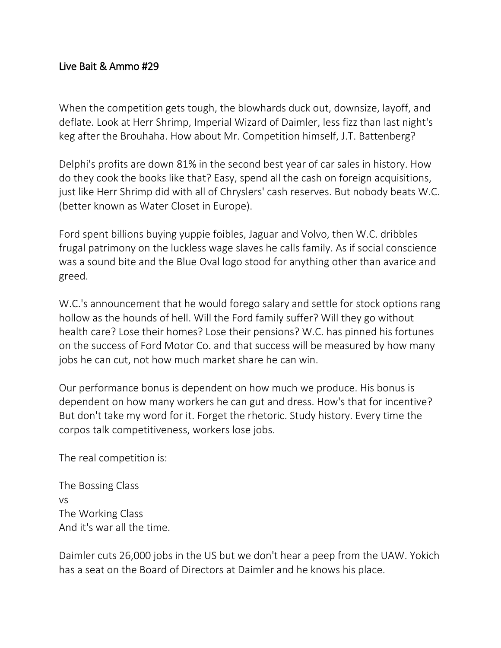## Live Bait & Ammo #29

When the competition gets tough, the blowhards duck out, downsize, layoff, and deflate. Look at Herr Shrimp, Imperial Wizard of Daimler, less fizz than last night's keg after the Brouhaha. How about Mr. Competition himself, J.T. Battenberg?

Delphi's profits are down 81% in the second best year of car sales in history. How do they cook the books like that? Easy, spend all the cash on foreign acquisitions, just like Herr Shrimp did with all of Chryslers' cash reserves. But nobody beats W.C. (better known as Water Closet in Europe).

Ford spent billions buying yuppie foibles, Jaguar and Volvo, then W.C. dribbles frugal patrimony on the luckless wage slaves he calls family. As if social conscience was a sound bite and the Blue Oval logo stood for anything other than avarice and greed.

W.C.'s announcement that he would forego salary and settle for stock options rang hollow as the hounds of hell. Will the Ford family suffer? Will they go without health care? Lose their homes? Lose their pensions? W.C. has pinned his fortunes on the success of Ford Motor Co. and that success will be measured by how many jobs he can cut, not how much market share he can win.

Our performance bonus is dependent on how much we produce. His bonus is dependent on how many workers he can gut and dress. How's that for incentive? But don't take my word for it. Forget the rhetoric. Study history. Every time the corpos talk competitiveness, workers lose jobs.

The real competition is:

The Bossing Class vs The Working Class And it's war all the time.

Daimler cuts 26,000 jobs in the US but we don't hear a peep from the UAW. Yokich has a seat on the Board of Directors at Daimler and he knows his place.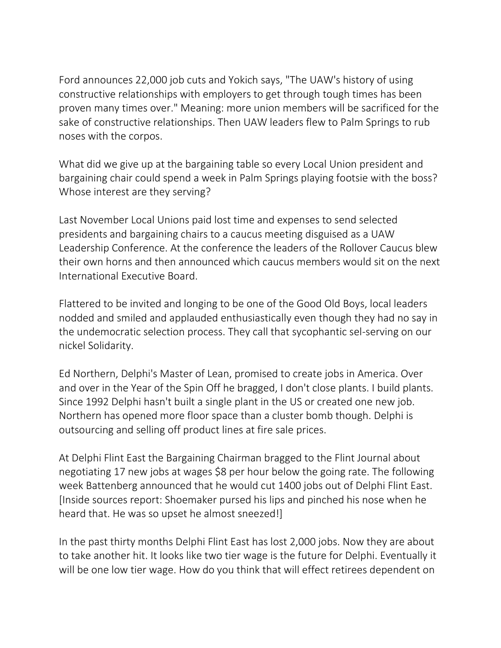Ford announces 22,000 job cuts and Yokich says, "The UAW's history of using constructive relationships with employers to get through tough times has been proven many times over." Meaning: more union members will be sacrificed for the sake of constructive relationships. Then UAW leaders flew to Palm Springs to rub noses with the corpos.

What did we give up at the bargaining table so every Local Union president and bargaining chair could spend a week in Palm Springs playing footsie with the boss? Whose interest are they serving?

Last November Local Unions paid lost time and expenses to send selected presidents and bargaining chairs to a caucus meeting disguised as a UAW Leadership Conference. At the conference the leaders of the Rollover Caucus blew their own horns and then announced which caucus members would sit on the next International Executive Board.

Flattered to be invited and longing to be one of the Good Old Boys, local leaders nodded and smiled and applauded enthusiastically even though they had no say in the undemocratic selection process. They call that sycophantic sel-serving on our nickel Solidarity.

Ed Northern, Delphi's Master of Lean, promised to create jobs in America. Over and over in the Year of the Spin Off he bragged, I don't close plants. I build plants. Since 1992 Delphi hasn't built a single plant in the US or created one new job. Northern has opened more floor space than a cluster bomb though. Delphi is outsourcing and selling off product lines at fire sale prices.

At Delphi Flint East the Bargaining Chairman bragged to the Flint Journal about negotiating 17 new jobs at wages \$8 per hour below the going rate. The following week Battenberg announced that he would cut 1400 jobs out of Delphi Flint East. [Inside sources report: Shoemaker pursed his lips and pinched his nose when he heard that. He was so upset he almost sneezed!]

In the past thirty months Delphi Flint East has lost 2,000 jobs. Now they are about to take another hit. It looks like two tier wage is the future for Delphi. Eventually it will be one low tier wage. How do you think that will effect retirees dependent on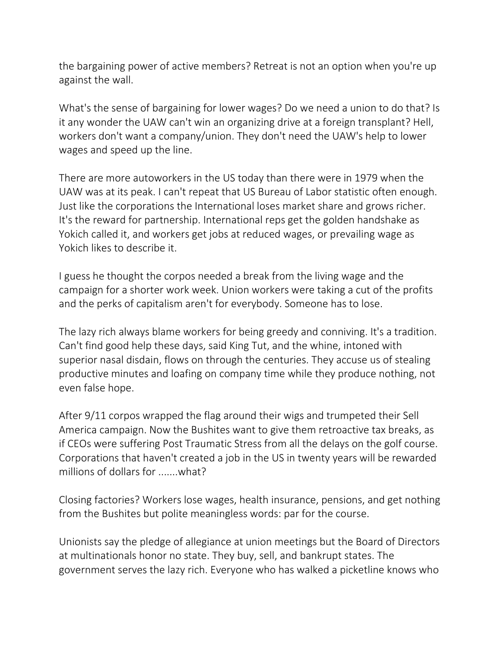the bargaining power of active members? Retreat is not an option when you're up against the wall.

What's the sense of bargaining for lower wages? Do we need a union to do that? Is it any wonder the UAW can't win an organizing drive at a foreign transplant? Hell, workers don't want a company/union. They don't need the UAW's help to lower wages and speed up the line.

There are more autoworkers in the US today than there were in 1979 when the UAW was at its peak. I can't repeat that US Bureau of Labor statistic often enough. Just like the corporations the International loses market share and grows richer. It's the reward for partnership. International reps get the golden handshake as Yokich called it, and workers get jobs at reduced wages, or prevailing wage as Yokich likes to describe it.

I guess he thought the corpos needed a break from the living wage and the campaign for a shorter work week. Union workers were taking a cut of the profits and the perks of capitalism aren't for everybody. Someone has to lose.

The lazy rich always blame workers for being greedy and conniving. It's a tradition. Can't find good help these days, said King Tut, and the whine, intoned with superior nasal disdain, flows on through the centuries. They accuse us of stealing productive minutes and loafing on company time while they produce nothing, not even false hope.

After 9/11 corpos wrapped the flag around their wigs and trumpeted their Sell America campaign. Now the Bushites want to give them retroactive tax breaks, as if CEOs were suffering Post Traumatic Stress from all the delays on the golf course. Corporations that haven't created a job in the US in twenty years will be rewarded millions of dollars for .......what?

Closing factories? Workers lose wages, health insurance, pensions, and get nothing from the Bushites but polite meaningless words: par for the course.

Unionists say the pledge of allegiance at union meetings but the Board of Directors at multinationals honor no state. They buy, sell, and bankrupt states. The government serves the lazy rich. Everyone who has walked a picketline knows who